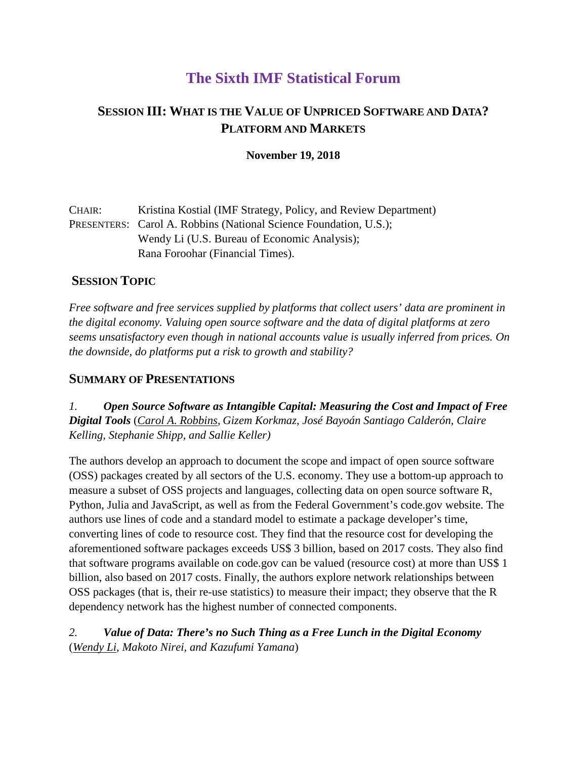# **The Sixth IMF Statistical Forum**

# **SESSION III: WHAT IS THE VALUE OF UNPRICED SOFTWARE AND DATA? PLATFORM AND MARKETS**

**November 19, 2018** 

| CHAIR: | Kristina Kostial (IMF Strategy, Policy, and Review Department)           |
|--------|--------------------------------------------------------------------------|
|        | <b>PRESENTERS:</b> Carol A. Robbins (National Science Foundation, U.S.); |
|        | Wendy Li (U.S. Bureau of Economic Analysis);                             |
|        | Rana Foroohar (Financial Times).                                         |

## **SESSION TOPIC**

*Free software and free services supplied by platforms that collect users' data are prominent in the digital economy. Valuing open source software and the data of digital platforms at zero seems unsatisfactory even though in national accounts value is usually inferred from prices. On the downside, do platforms put a risk to growth and stability?* 

## **SUMMARY OF PRESENTATIONS**

*1. Open Source Software as Intangible Capital: Measuring the Cost and Impact of Free Digital Tools* (*Carol A. Robbins, Gizem Korkmaz, José Bayoán Santiago Calderón, Claire Kelling, Stephanie Shipp, and Sallie Keller)*

The authors develop an approach to document the scope and impact of open source software (OSS) packages created by all sectors of the U.S. economy. They use a bottom-up approach to measure a subset of OSS projects and languages, collecting data on open source software R, Python, Julia and JavaScript, as well as from the Federal Government's code.gov website. The authors use lines of code and a standard model to estimate a package developer's time, converting lines of code to resource cost. They find that the resource cost for developing the aforementioned software packages exceeds US\$ 3 billion, based on 2017 costs. They also find that software programs available on code.gov can be valued (resource cost) at more than US\$ 1 billion, also based on 2017 costs. Finally, the authors explore network relationships between OSS packages (that is, their re-use statistics) to measure their impact; they observe that the R dependency network has the highest number of connected components.

*2. Value of Data: There's no Such Thing as a Free Lunch in the Digital Economy* (*Wendy Li, Makoto Nirei, and Kazufumi Yamana*)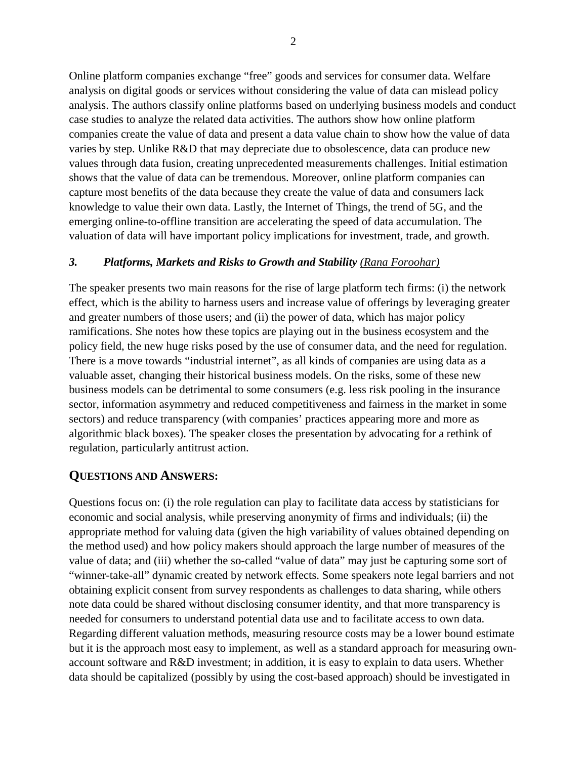Online platform companies exchange "free" goods and services for consumer data. Welfare analysis on digital goods or services without considering the value of data can mislead policy analysis. The authors classify online platforms based on underlying business models and conduct case studies to analyze the related data activities. The authors show how online platform companies create the value of data and present a data value chain to show how the value of data varies by step. Unlike R&D that may depreciate due to obsolescence, data can produce new values through data fusion, creating unprecedented measurements challenges. Initial estimation shows that the value of data can be tremendous. Moreover, online platform companies can capture most benefits of the data because they create the value of data and consumers lack knowledge to value their own data. Lastly, the Internet of Things, the trend of 5G, and the emerging online-to-offline transition are accelerating the speed of data accumulation. The valuation of data will have important policy implications for investment, trade, and growth.

#### *3. Platforms, Markets and Risks to Growth and Stability (Rana Foroohar)*

The speaker presents two main reasons for the rise of large platform tech firms: (i) the network effect, which is the ability to harness users and increase value of offerings by leveraging greater and greater numbers of those users; and (ii) the power of data, which has major policy ramifications. She notes how these topics are playing out in the business ecosystem and the policy field, the new huge risks posed by the use of consumer data, and the need for regulation. There is a move towards "industrial internet", as all kinds of companies are using data as a valuable asset, changing their historical business models. On the risks, some of these new business models can be detrimental to some consumers (e.g. less risk pooling in the insurance sector, information asymmetry and reduced competitiveness and fairness in the market in some sectors) and reduce transparency (with companies' practices appearing more and more as algorithmic black boxes). The speaker closes the presentation by advocating for a rethink of regulation, particularly antitrust action.

### **QUESTIONS AND ANSWERS:**

Questions focus on: (i) the role regulation can play to facilitate data access by statisticians for economic and social analysis, while preserving anonymity of firms and individuals; (ii) the appropriate method for valuing data (given the high variability of values obtained depending on the method used) and how policy makers should approach the large number of measures of the value of data; and (iii) whether the so-called "value of data" may just be capturing some sort of "winner-take-all" dynamic created by network effects. Some speakers note legal barriers and not obtaining explicit consent from survey respondents as challenges to data sharing, while others note data could be shared without disclosing consumer identity, and that more transparency is needed for consumers to understand potential data use and to facilitate access to own data. Regarding different valuation methods, measuring resource costs may be a lower bound estimate but it is the approach most easy to implement, as well as a standard approach for measuring ownaccount software and R&D investment; in addition, it is easy to explain to data users. Whether data should be capitalized (possibly by using the cost-based approach) should be investigated in